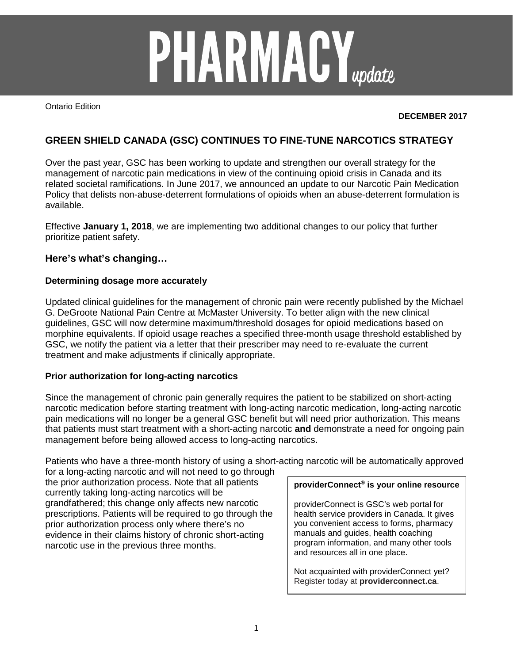# **PHARMACY**<sub>update</sub>

Ontario Edition

## **DECEMBER 2017**

# **GREEN SHIELD CANADA (GSC) CONTINUES TO FINE-TUNE NARCOTICS STRATEGY**

Over the past year, GSC has been working to update and strengthen our overall strategy for the management of narcotic pain medications in view of the continuing opioid crisis in Canada and its related societal ramifications. In June 2017, we announced an update to our Narcotic Pain Medication Policy that delists non-abuse-deterrent formulations of opioids when an abuse-deterrent formulation is available.

Effective **January 1, 2018**, we are implementing two additional changes to our policy that further prioritize patient safety.

# **Here's what's changing…**

## **Determining dosage more accurately**

Updated clinical guidelines for the management of chronic pain were recently published by the Michael G. DeGroote National Pain Centre at McMaster University. To better align with the new clinical guidelines, GSC will now determine maximum/threshold dosages for opioid medications based on morphine equivalents. If opioid usage reaches a specified three-month usage threshold established by GSC, we notify the patient via a letter that their prescriber may need to re-evaluate the current treatment and make adjustments if clinically appropriate.

## **Prior authorization for long-acting narcotics**

Since the management of chronic pain generally requires the patient to be stabilized on short-acting narcotic medication before starting treatment with long-acting narcotic medication, long-acting narcotic pain medications will no longer be a general GSC benefit but will need prior authorization. This means that patients must start treatment with a short-acting narcotic **and** demonstrate a need for ongoing pain management before being allowed access to long-acting narcotics.

Patients who have a three-month history of using a short-acting narcotic will be automatically approved

for a long-acting narcotic and will not need to go through the prior authorization process. Note that all patients currently taking long-acting narcotics will be grandfathered; this change only affects new narcotic prescriptions. Patients will be required to go through the prior authorization process only where there's no evidence in their claims history of chronic short-acting narcotic use in the previous three months.

#### **providerConnect® is your online resource**

providerConnect is GSC's web portal for health service providers in Canada. It gives you convenient access to forms, pharmacy manuals and guides, health coaching program information, and many other tools and resources all in one place.

Not acquainted with providerConnect yet? Register today at **providerconnect.ca**.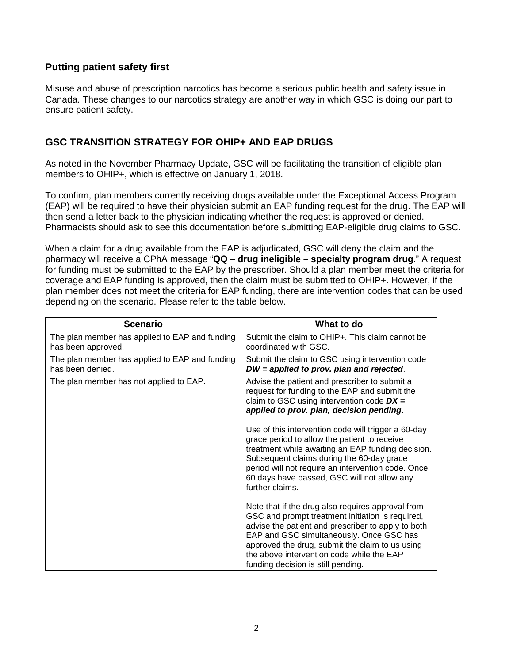# **Putting patient safety first**

Misuse and abuse of prescription narcotics has become a serious public health and safety issue in Canada. These changes to our narcotics strategy are another way in which GSC is doing our part to ensure patient safety.

# **GSC TRANSITION STRATEGY FOR OHIP+ AND EAP DRUGS**

As noted in the November Pharmacy Update, GSC will be facilitating the transition of eligible plan members to OHIP+, which is effective on January 1, 2018.

To confirm, plan members currently receiving drugs available under the Exceptional Access Program (EAP) will be required to have their physician submit an EAP funding request for the drug. The EAP will then send a letter back to the physician indicating whether the request is approved or denied. Pharmacists should ask to see this documentation before submitting EAP-eligible drug claims to GSC.

When a claim for a drug available from the EAP is adjudicated, GSC will deny the claim and the pharmacy will receive a CPhA message "**QQ – drug ineligible – specialty program drug**." A request for funding must be submitted to the EAP by the prescriber. Should a plan member meet the criteria for coverage and EAP funding is approved, then the claim must be submitted to OHIP+. However, if the plan member does not meet the criteria for EAP funding, there are intervention codes that can be used depending on the scenario. Please refer to the table below.

| <b>Scenario</b>                                                      | What to do                                                                                                                                                                                                                                                                                                                                    |
|----------------------------------------------------------------------|-----------------------------------------------------------------------------------------------------------------------------------------------------------------------------------------------------------------------------------------------------------------------------------------------------------------------------------------------|
| The plan member has applied to EAP and funding<br>has been approved. | Submit the claim to OHIP+. This claim cannot be<br>coordinated with GSC.                                                                                                                                                                                                                                                                      |
| The plan member has applied to EAP and funding<br>has been denied.   | Submit the claim to GSC using intervention code<br>DW = applied to prov. plan and rejected.                                                                                                                                                                                                                                                   |
| The plan member has not applied to EAP.                              | Advise the patient and prescriber to submit a<br>request for funding to the EAP and submit the<br>claim to GSC using intervention code $DX =$<br>applied to prov. plan, decision pending.                                                                                                                                                     |
|                                                                      | Use of this intervention code will trigger a 60-day<br>grace period to allow the patient to receive<br>treatment while awaiting an EAP funding decision.<br>Subsequent claims during the 60-day grace<br>period will not require an intervention code. Once<br>60 days have passed, GSC will not allow any<br>further claims.                 |
|                                                                      | Note that if the drug also requires approval from<br>GSC and prompt treatment initiation is required,<br>advise the patient and prescriber to apply to both<br>EAP and GSC simultaneously. Once GSC has<br>approved the drug, submit the claim to us using<br>the above intervention code while the EAP<br>funding decision is still pending. |